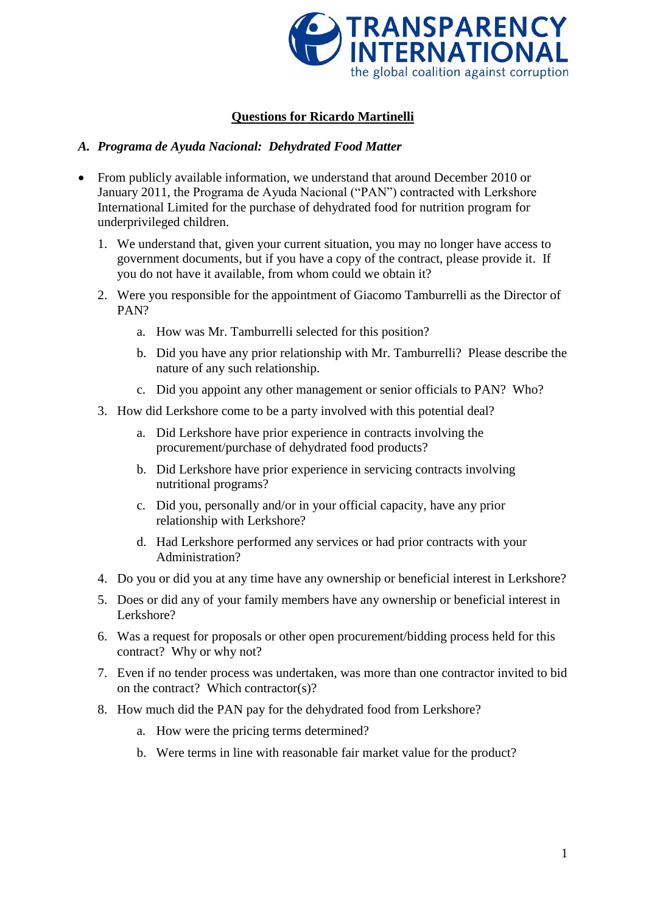

# **Questions for Ricardo Martinelli**

## *A. Programa de Ayuda Nacional: Dehydrated Food Matter*

- From publicly available information, we understand that around December 2010 or January 2011, the Programa de Ayuda Nacional ("PAN") contracted with Lerkshore International Limited for the purchase of dehydrated food for nutrition program for underprivileged children.
	- 1. We understand that, given your current situation, you may no longer have access to government documents, but if you have a copy of the contract, please provide it. If you do not have it available, from whom could we obtain it?
	- 2. Were you responsible for the appointment of Giacomo Tamburrelli as the Director of PAN?
		- a. How was Mr. Tamburrelli selected for this position?
		- b. Did you have any prior relationship with Mr. Tamburrelli? Please describe the nature of any such relationship.
		- c. Did you appoint any other management or senior officials to PAN? Who?
	- 3. How did Lerkshore come to be a party involved with this potential deal?
		- a. Did Lerkshore have prior experience in contracts involving the procurement/purchase of dehydrated food products?
		- b. Did Lerkshore have prior experience in servicing contracts involving nutritional programs?
		- c. Did you, personally and/or in your official capacity, have any prior relationship with Lerkshore?
		- d. Had Lerkshore performed any services or had prior contracts with your Administration?
	- 4. Do you or did you at any time have any ownership or beneficial interest in Lerkshore?
	- 5. Does or did any of your family members have any ownership or beneficial interest in Lerkshore?
	- 6. Was a request for proposals or other open procurement/bidding process held for this contract? Why or why not?
	- 7. Even if no tender process was undertaken, was more than one contractor invited to bid on the contract? Which contractor(s)?
	- 8. How much did the PAN pay for the dehydrated food from Lerkshore?
		- a. How were the pricing terms determined?
		- b. Were terms in line with reasonable fair market value for the product?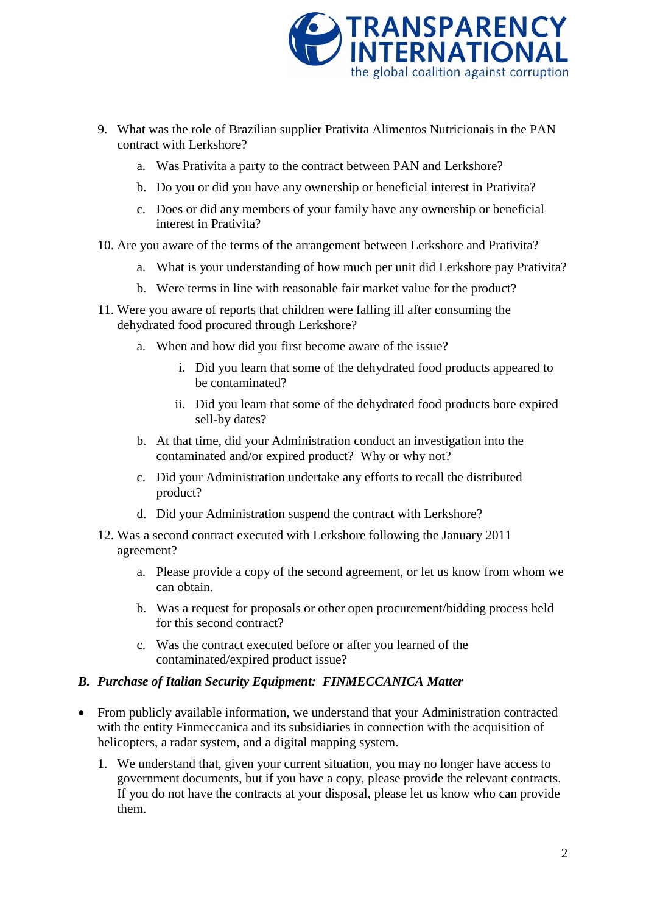

- 9. What was the role of Brazilian supplier Prativita Alimentos Nutricionais in the PAN contract with Lerkshore?
	- a. Was Prativita a party to the contract between PAN and Lerkshore?
	- b. Do you or did you have any ownership or beneficial interest in Prativita?
	- c. Does or did any members of your family have any ownership or beneficial interest in Prativita?
- 10. Are you aware of the terms of the arrangement between Lerkshore and Prativita?
	- a. What is your understanding of how much per unit did Lerkshore pay Prativita?
	- b. Were terms in line with reasonable fair market value for the product?
- 11. Were you aware of reports that children were falling ill after consuming the dehydrated food procured through Lerkshore?
	- a. When and how did you first become aware of the issue?
		- i. Did you learn that some of the dehydrated food products appeared to be contaminated?
		- ii. Did you learn that some of the dehydrated food products bore expired sell-by dates?
	- b. At that time, did your Administration conduct an investigation into the contaminated and/or expired product? Why or why not?
	- c. Did your Administration undertake any efforts to recall the distributed product?
	- d. Did your Administration suspend the contract with Lerkshore?
- 12. Was a second contract executed with Lerkshore following the January 2011 agreement?
	- a. Please provide a copy of the second agreement, or let us know from whom we can obtain.
	- b. Was a request for proposals or other open procurement/bidding process held for this second contract?
	- c. Was the contract executed before or after you learned of the contaminated/expired product issue?

## *B. Purchase of Italian Security Equipment: FINMECCANICA Matter*

- From publicly available information, we understand that your Administration contracted with the entity Finmeccanica and its subsidiaries in connection with the acquisition of helicopters, a radar system, and a digital mapping system.
	- 1. We understand that, given your current situation, you may no longer have access to government documents, but if you have a copy, please provide the relevant contracts. If you do not have the contracts at your disposal, please let us know who can provide them.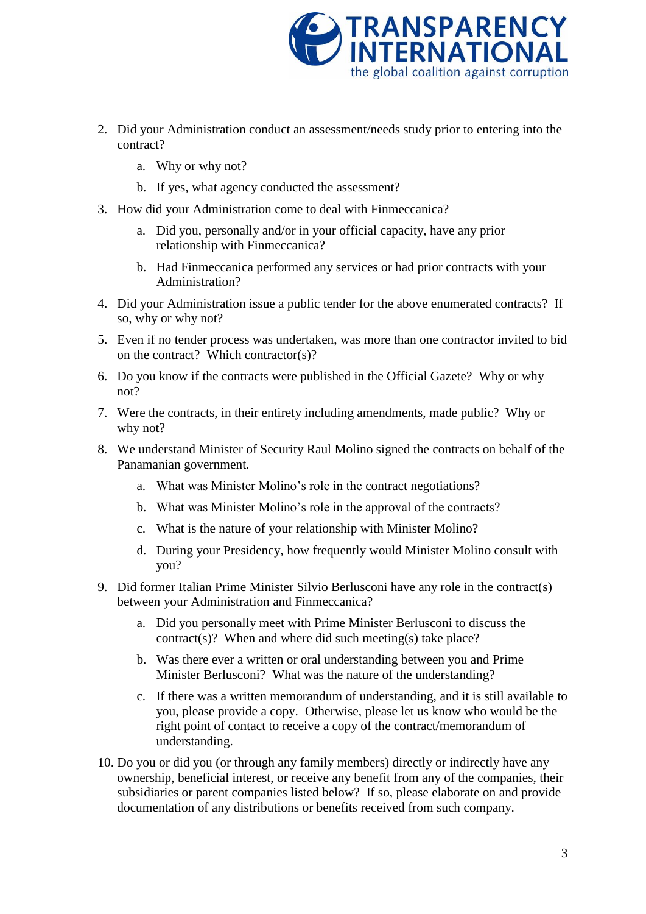

- 2. Did your Administration conduct an assessment/needs study prior to entering into the contract?
	- a. Why or why not?
	- b. If yes, what agency conducted the assessment?
- 3. How did your Administration come to deal with Finmeccanica?
	- a. Did you, personally and/or in your official capacity, have any prior relationship with Finmeccanica?
	- b. Had Finmeccanica performed any services or had prior contracts with your Administration?
- 4. Did your Administration issue a public tender for the above enumerated contracts? If so, why or why not?
- 5. Even if no tender process was undertaken, was more than one contractor invited to bid on the contract? Which contractor(s)?
- 6. Do you know if the contracts were published in the Official Gazete? Why or why not?
- 7. Were the contracts, in their entirety including amendments, made public? Why or why not?
- 8. We understand Minister of Security Raul Molino signed the contracts on behalf of the Panamanian government.
	- a. What was Minister Molino's role in the contract negotiations?
	- b. What was Minister Molino's role in the approval of the contracts?
	- c. What is the nature of your relationship with Minister Molino?
	- d. During your Presidency, how frequently would Minister Molino consult with you?
- 9. Did former Italian Prime Minister Silvio Berlusconi have any role in the contract(s) between your Administration and Finmeccanica?
	- a. Did you personally meet with Prime Minister Berlusconi to discuss the contract(s)? When and where did such meeting(s) take place?
	- b. Was there ever a written or oral understanding between you and Prime Minister Berlusconi? What was the nature of the understanding?
	- c. If there was a written memorandum of understanding, and it is still available to you, please provide a copy. Otherwise, please let us know who would be the right point of contact to receive a copy of the contract/memorandum of understanding.
- 10. Do you or did you (or through any family members) directly or indirectly have any ownership, beneficial interest, or receive any benefit from any of the companies, their subsidiaries or parent companies listed below? If so, please elaborate on and provide documentation of any distributions or benefits received from such company.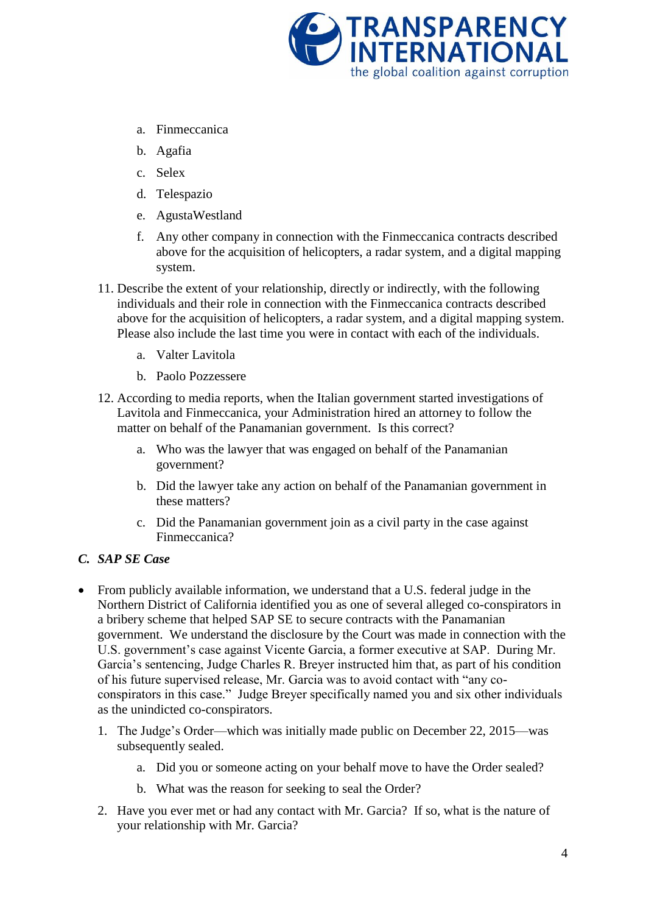

- a. Finmeccanica
- b. Agafia
- c. Selex
- d. Telespazio
- e. AgustaWestland
- f. Any other company in connection with the Finmeccanica contracts described above for the acquisition of helicopters, a radar system, and a digital mapping system.
- 11. Describe the extent of your relationship, directly or indirectly, with the following individuals and their role in connection with the Finmeccanica contracts described above for the acquisition of helicopters, a radar system, and a digital mapping system. Please also include the last time you were in contact with each of the individuals.
	- a. Valter Lavitola
	- b. Paolo Pozzessere
- 12. According to media reports, when the Italian government started investigations of Lavitola and Finmeccanica, your Administration hired an attorney to follow the matter on behalf of the Panamanian government. Is this correct?
	- a. Who was the lawyer that was engaged on behalf of the Panamanian government?
	- b. Did the lawyer take any action on behalf of the Panamanian government in these matters?
	- c. Did the Panamanian government join as a civil party in the case against Finmeccanica?

## *C. SAP SE Case*

- From publicly available information, we understand that a U.S. federal judge in the Northern District of California identified you as one of several alleged co-conspirators in a bribery scheme that helped SAP SE to secure contracts with the Panamanian government. We understand the disclosure by the Court was made in connection with the U.S. government's case against Vicente Garcia, a former executive at SAP. During Mr. Garcia's sentencing, Judge Charles R. Breyer instructed him that, as part of his condition of his future supervised release, Mr. Garcia was to avoid contact with "any coconspirators in this case." Judge Breyer specifically named you and six other individuals as the unindicted co-conspirators.
	- 1. The Judge's Order—which was initially made public on December 22, 2015—was subsequently sealed.
		- a. Did you or someone acting on your behalf move to have the Order sealed?
		- b. What was the reason for seeking to seal the Order?
	- 2. Have you ever met or had any contact with Mr. Garcia? If so, what is the nature of your relationship with Mr. Garcia?